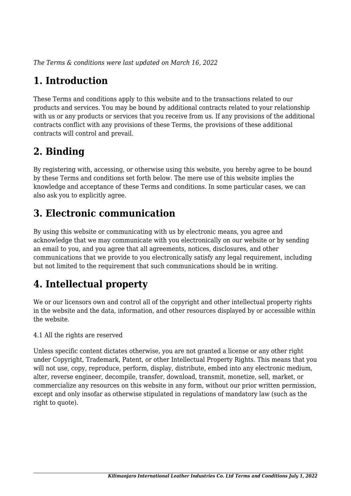*The Terms & conditions were last updated on March 16, 2022*

# **1. Introduction**

These Terms and conditions apply to this website and to the transactions related to our products and services. You may be bound by additional contracts related to your relationship with us or any products or services that you receive from us. If any provisions of the additional contracts conflict with any provisions of these Terms, the provisions of these additional contracts will control and prevail.

# **2. Binding**

By registering with, accessing, or otherwise using this website, you hereby agree to be bound by these Terms and conditions set forth below. The mere use of this website implies the knowledge and acceptance of these Terms and conditions. In some particular cases, we can also ask you to explicitly agree.

# **3. Electronic communication**

By using this website or communicating with us by electronic means, you agree and acknowledge that we may communicate with you electronically on our website or by sending an email to you, and you agree that all agreements, notices, disclosures, and other communications that we provide to you electronically satisfy any legal requirement, including but not limited to the requirement that such communications should be in writing.

# **4. Intellectual property**

We or our licensors own and control all of the copyright and other intellectual property rights in the website and the data, information, and other resources displayed by or accessible within the website.

4.1 All the rights are reserved

Unless specific content dictates otherwise, you are not granted a license or any other right under Copyright, Trademark, Patent, or other Intellectual Property Rights. This means that you will not use, copy, reproduce, perform, display, distribute, embed into any electronic medium, alter, reverse engineer, decompile, transfer, download, transmit, monetize, sell, market, or commercialize any resources on this website in any form, without our prior written permission, except and only insofar as otherwise stipulated in regulations of mandatory law (such as the right to quote).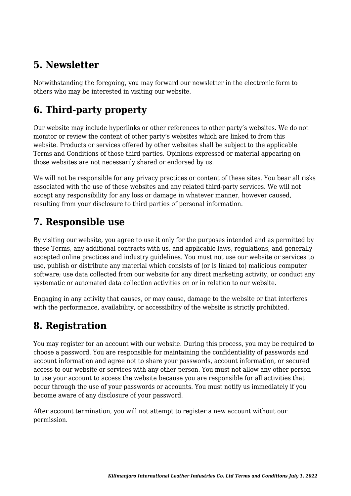## **5. Newsletter**

Notwithstanding the foregoing, you may forward our newsletter in the electronic form to others who may be interested in visiting our website.

# **6. Third-party property**

Our website may include hyperlinks or other references to other party's websites. We do not monitor or review the content of other party's websites which are linked to from this website. Products or services offered by other websites shall be subject to the applicable Terms and Conditions of those third parties. Opinions expressed or material appearing on those websites are not necessarily shared or endorsed by us.

We will not be responsible for any privacy practices or content of these sites. You bear all risks associated with the use of these websites and any related third-party services. We will not accept any responsibility for any loss or damage in whatever manner, however caused, resulting from your disclosure to third parties of personal information.

### **7. Responsible use**

By visiting our website, you agree to use it only for the purposes intended and as permitted by these Terms, any additional contracts with us, and applicable laws, regulations, and generally accepted online practices and industry guidelines. You must not use our website or services to use, publish or distribute any material which consists of (or is linked to) malicious computer software; use data collected from our website for any direct marketing activity, or conduct any systematic or automated data collection activities on or in relation to our website.

Engaging in any activity that causes, or may cause, damage to the website or that interferes with the performance, availability, or accessibility of the website is strictly prohibited.

# **8. Registration**

You may register for an account with our website. During this process, you may be required to choose a password. You are responsible for maintaining the confidentiality of passwords and account information and agree not to share your passwords, account information, or secured access to our website or services with any other person. You must not allow any other person to use your account to access the website because you are responsible for all activities that occur through the use of your passwords or accounts. You must notify us immediately if you become aware of any disclosure of your password.

After account termination, you will not attempt to register a new account without our permission.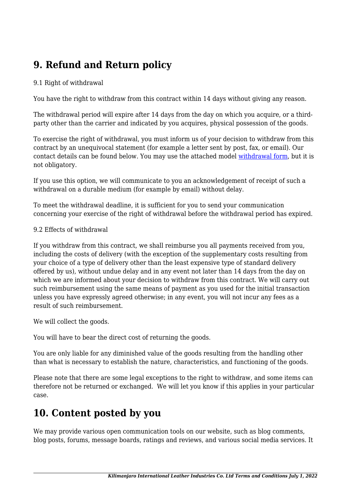# **9. Refund and Return policy**

#### 9.1 Right of withdrawal

You have the right to withdraw from this contract within 14 days without giving any reason.

The withdrawal period will expire after 14 days from the day on which you acquire, or a thirdparty other than the carrier and indicated by you acquires, physical possession of the goods.

To exercise the right of withdrawal, you must inform us of your decision to withdraw from this contract by an unequivocal statement (for example a letter sent by post, fax, or email). Our contact details can be found below. You may use the attached model [withdrawal form](https://klicl.co.tz/wp-content/uploads/complianz/withdrawal-forms/withdrawal-form-en.pdf), but it is not obligatory.

If you use this option, we will communicate to you an acknowledgement of receipt of such a withdrawal on a durable medium (for example by email) without delay.

To meet the withdrawal deadline, it is sufficient for you to send your communication concerning your exercise of the right of withdrawal before the withdrawal period has expired.

#### 9.2 Effects of withdrawal

If you withdraw from this contract, we shall reimburse you all payments received from you, including the costs of delivery (with the exception of the supplementary costs resulting from your choice of a type of delivery other than the least expensive type of standard delivery offered by us), without undue delay and in any event not later than 14 days from the day on which we are informed about your decision to withdraw from this contract. We will carry out such reimbursement using the same means of payment as you used for the initial transaction unless you have expressly agreed otherwise; in any event, you will not incur any fees as a result of such reimbursement.

We will collect the goods.

You will have to bear the direct cost of returning the goods.

You are only liable for any diminished value of the goods resulting from the handling other than what is necessary to establish the nature, characteristics, and functioning of the goods.

Please note that there are some legal exceptions to the right to withdraw, and some items can therefore not be returned or exchanged. We will let you know if this applies in your particular case.

### **10. Content posted by you**

We may provide various open communication tools on our website, such as blog comments, blog posts, forums, message boards, ratings and reviews, and various social media services. It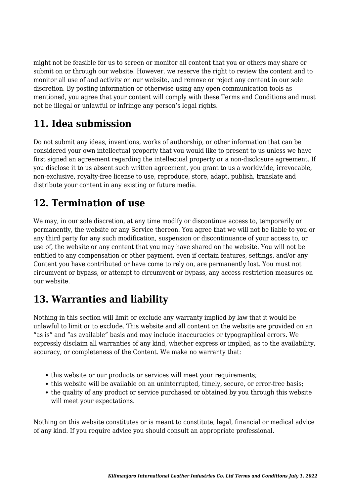might not be feasible for us to screen or monitor all content that you or others may share or submit on or through our website. However, we reserve the right to review the content and to monitor all use of and activity on our website, and remove or reject any content in our sole discretion. By posting information or otherwise using any open communication tools as mentioned, you agree that your content will comply with these Terms and Conditions and must not be illegal or unlawful or infringe any person's legal rights.

# **11. Idea submission**

Do not submit any ideas, inventions, works of authorship, or other information that can be considered your own intellectual property that you would like to present to us unless we have first signed an agreement regarding the intellectual property or a non-disclosure agreement. If you disclose it to us absent such written agreement, you grant to us a worldwide, irrevocable, non-exclusive, royalty-free license to use, reproduce, store, adapt, publish, translate and distribute your content in any existing or future media.

## **12. Termination of use**

We may, in our sole discretion, at any time modify or discontinue access to, temporarily or permanently, the website or any Service thereon. You agree that we will not be liable to you or any third party for any such modification, suspension or discontinuance of your access to, or use of, the website or any content that you may have shared on the website. You will not be entitled to any compensation or other payment, even if certain features, settings, and/or any Content you have contributed or have come to rely on, are permanently lost. You must not circumvent or bypass, or attempt to circumvent or bypass, any access restriction measures on our website.

# **13. Warranties and liability**

Nothing in this section will limit or exclude any warranty implied by law that it would be unlawful to limit or to exclude. This website and all content on the website are provided on an "as is" and "as available" basis and may include inaccuracies or typographical errors. We expressly disclaim all warranties of any kind, whether express or implied, as to the availability, accuracy, or completeness of the Content. We make no warranty that:

- this website or our products or services will meet your requirements;
- this website will be available on an uninterrupted, timely, secure, or error-free basis;
- the quality of any product or service purchased or obtained by you through this website will meet your expectations.

Nothing on this website constitutes or is meant to constitute, legal, financial or medical advice of any kind. If you require advice you should consult an appropriate professional.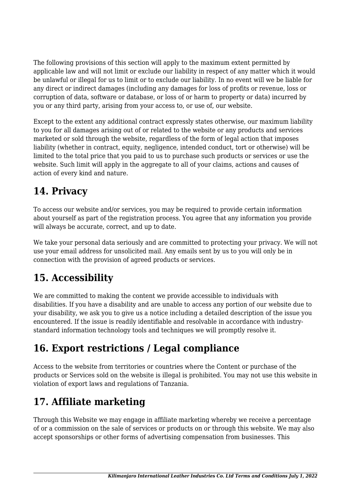The following provisions of this section will apply to the maximum extent permitted by applicable law and will not limit or exclude our liability in respect of any matter which it would be unlawful or illegal for us to limit or to exclude our liability. In no event will we be liable for any direct or indirect damages (including any damages for loss of profits or revenue, loss or corruption of data, software or database, or loss of or harm to property or data) incurred by you or any third party, arising from your access to, or use of, our website.

Except to the extent any additional contract expressly states otherwise, our maximum liability to you for all damages arising out of or related to the website or any products and services marketed or sold through the website, regardless of the form of legal action that imposes liability (whether in contract, equity, negligence, intended conduct, tort or otherwise) will be limited to the total price that you paid to us to purchase such products or services or use the website. Such limit will apply in the aggregate to all of your claims, actions and causes of action of every kind and nature.

## **14. Privacy**

To access our website and/or services, you may be required to provide certain information about yourself as part of the registration process. You agree that any information you provide will always be accurate, correct, and up to date.

We take your personal data seriously and are committed to protecting your privacy. We will not use your email address for unsolicited mail. Any emails sent by us to you will only be in connection with the provision of agreed products or services.

# **15. Accessibility**

We are committed to making the content we provide accessible to individuals with disabilities. If you have a disability and are unable to access any portion of our website due to your disability, we ask you to give us a notice including a detailed description of the issue you encountered. If the issue is readily identifiable and resolvable in accordance with industrystandard information technology tools and techniques we will promptly resolve it.

# **16. Export restrictions / Legal compliance**

Access to the website from territories or countries where the Content or purchase of the products or Services sold on the website is illegal is prohibited. You may not use this website in violation of export laws and regulations of Tanzania.

# **17. Affiliate marketing**

Through this Website we may engage in affiliate marketing whereby we receive a percentage of or a commission on the sale of services or products on or through this website. We may also accept sponsorships or other forms of advertising compensation from businesses. This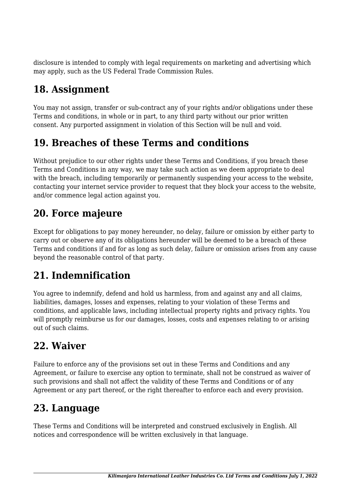disclosure is intended to comply with legal requirements on marketing and advertising which may apply, such as the US Federal Trade Commission Rules.

# **18. Assignment**

You may not assign, transfer or sub-contract any of your rights and/or obligations under these Terms and conditions, in whole or in part, to any third party without our prior written consent. Any purported assignment in violation of this Section will be null and void.

# **19. Breaches of these Terms and conditions**

Without prejudice to our other rights under these Terms and Conditions, if you breach these Terms and Conditions in any way, we may take such action as we deem appropriate to deal with the breach, including temporarily or permanently suspending your access to the website, contacting your internet service provider to request that they block your access to the website, and/or commence legal action against you.

## **20. Force majeure**

Except for obligations to pay money hereunder, no delay, failure or omission by either party to carry out or observe any of its obligations hereunder will be deemed to be a breach of these Terms and conditions if and for as long as such delay, failure or omission arises from any cause beyond the reasonable control of that party.

# **21. Indemnification**

You agree to indemnify, defend and hold us harmless, from and against any and all claims, liabilities, damages, losses and expenses, relating to your violation of these Terms and conditions, and applicable laws, including intellectual property rights and privacy rights. You will promptly reimburse us for our damages, losses, costs and expenses relating to or arising out of such claims.

### **22. Waiver**

Failure to enforce any of the provisions set out in these Terms and Conditions and any Agreement, or failure to exercise any option to terminate, shall not be construed as waiver of such provisions and shall not affect the validity of these Terms and Conditions or of any Agreement or any part thereof, or the right thereafter to enforce each and every provision.

### **23. Language**

These Terms and Conditions will be interpreted and construed exclusively in English. All notices and correspondence will be written exclusively in that language.